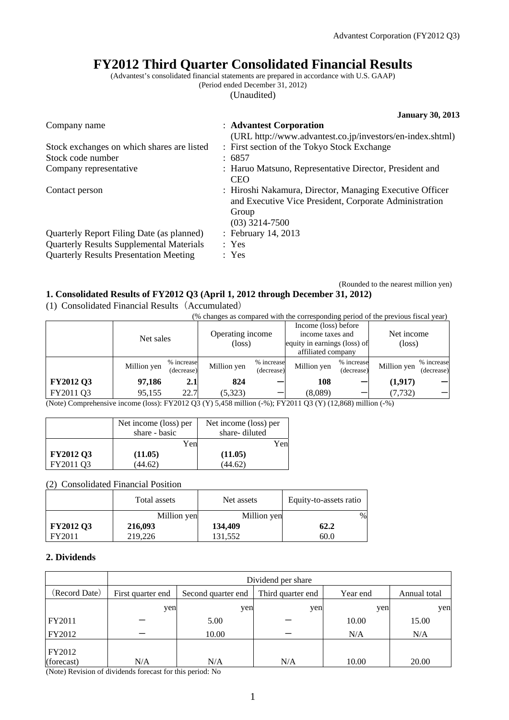# **FY2012 Third Quarter Consolidated Financial Results**

(Advantest's consolidated financial statements are prepared in accordance with U.S. GAAP)

(Period ended December 31, 2012)

(Unaudited)

|                                                                                                                                               | <b>January 30, 2013</b>                                                                                                                         |
|-----------------------------------------------------------------------------------------------------------------------------------------------|-------------------------------------------------------------------------------------------------------------------------------------------------|
| Company name                                                                                                                                  | : Advantest Corporation<br>(URL http://www.advantest.co.jp/investors/en-index.shtml)                                                            |
| Stock exchanges on which shares are listed                                                                                                    | : First section of the Tokyo Stock Exchange                                                                                                     |
| Stock code number                                                                                                                             | : 6857                                                                                                                                          |
| Company representative                                                                                                                        | : Haruo Matsuno, Representative Director, President and<br><b>CEO</b>                                                                           |
| Contact person                                                                                                                                | : Hiroshi Nakamura, Director, Managing Executive Officer<br>and Executive Vice President, Corporate Administration<br>Group<br>$(03)$ 3214-7500 |
| Quarterly Report Filing Date (as planned)<br><b>Quarterly Results Supplemental Materials</b><br><b>Quarterly Results Presentation Meeting</b> | : February 14, 2013<br>: Yes<br>: Yes                                                                                                           |

#### (Rounded to the nearest million yen) **1. Consolidated Results of FY2012 Q3 (April 1, 2012 through December 31, 2012)**

(1) Consolidated Financial Results(Accumulated)

(% changes as compared with the corresponding period of the previous fiscal year)

| Net sales   |                          | Operating income<br>(loss) |  | Income (loss) before<br>income taxes and<br>equity in earnings (loss) of<br>affiliated company |                          | Net income<br>$(\text{loss})$ |                                                                                                                                         |
|-------------|--------------------------|----------------------------|--|------------------------------------------------------------------------------------------------|--------------------------|-------------------------------|-----------------------------------------------------------------------------------------------------------------------------------------|
| Million yen | % increase<br>(decrease) | Million yen                |  | Million yen                                                                                    | (decrease)               | Million yen                   | % increase<br>(decrease)                                                                                                                |
| 97,186      | 2.1                      | 824                        |  | 108                                                                                            |                          | (1,917)                       |                                                                                                                                         |
| 95.155      | 22.7                     | (5,323)                    |  | (8,089)                                                                                        |                          | (7, 732)                      |                                                                                                                                         |
|             |                          |                            |  |                                                                                                | % increase<br>(decrease) |                               | % increase<br>(Note) Comprehensive income (loss): EV2012 02 (V) 5 450 million ( $\theta$ ): EV2011 02 (V) (12 969) million ( $\theta$ ) |

(Note) Comprehensive income (loss): FY2012 Q3 (Y) 5,458 million (-%); FY2011 Q3 (Y) (12,868) million (-%)

|                  | Net income (loss) per<br>share - basic | Net income (loss) per<br>share-diluted |
|------------------|----------------------------------------|----------------------------------------|
|                  | Yen                                    | Yen                                    |
| <b>FY2012 Q3</b> | (11.05)                                | (11.05)                                |
| FY2011 O3        | (44.62)                                | (44.62)                                |

(2) Consolidated Financial Position

|                  | Total assets | Net assets  | Equity-to-assets ratio |
|------------------|--------------|-------------|------------------------|
|                  | Million yen  | Million yen | %                      |
| <b>FY2012 Q3</b> | 216,093      | 134,409     | 62.2                   |
| FY2011           | 219,226      | 131.552     | 60.0                   |

### **2. Dividends**

|                      | Dividend per share                                                                       |       |     |       |       |  |
|----------------------|------------------------------------------------------------------------------------------|-------|-----|-------|-------|--|
| (Record Date)        | First quarter end<br>Third quarter end<br>Second quarter end<br>Year end<br>Annual total |       |     |       |       |  |
|                      | yen                                                                                      | yen   | yen | yen   | yen   |  |
| FY2011               |                                                                                          | 5.00  |     | 10.00 | 15.00 |  |
| FY2012               |                                                                                          | 10.00 |     | N/A   | N/A   |  |
| FY2012<br>(forecast) | N/A                                                                                      | N/A   | N/A | 10.00 | 20.00 |  |

(Note) Revision of dividends forecast for this period: No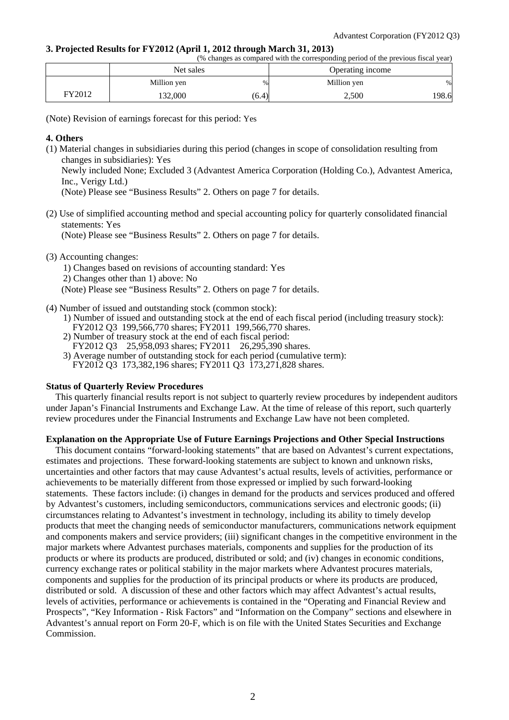#### **3. Projected Results for FY2012 (April 1, 2012 through March 31, 2013)**

| (% changes as compared with the corresponding period of the previous fiscal year) |
|-----------------------------------------------------------------------------------|
|-----------------------------------------------------------------------------------|

|        | Net sales   |       | Operating income |       |
|--------|-------------|-------|------------------|-------|
|        | Million yen | %     | Million yen      | %     |
| FY2012 | 132,000     | (6.4) | 2,500            | 198.6 |

(Note) Revision of earnings forecast for this period: Yes

#### **4. Others**

(1) Material changes in subsidiaries during this period (changes in scope of consolidation resulting from changes in subsidiaries): Yes

Newly included None; Excluded 3 (Advantest America Corporation (Holding Co.), Advantest America, Inc., Verigy Ltd.)

(Note) Please see "Business Results" 2. Others on page 7 for details.

(2) Use of simplified accounting method and special accounting policy for quarterly consolidated financial statements: Yes

(Note) Please see "Business Results" 2. Others on page 7 for details.

#### (3) Accounting changes:

1) Changes based on revisions of accounting standard: Yes 2) Changes other than 1) above: No

(Note) Please see "Business Results" 2. Others on page 7 for details.

(4) Number of issued and outstanding stock (common stock):

- 1) Number of issued and outstanding stock at the end of each fiscal period (including treasury stock): FY2012 Q3 199,566,770 shares; FY2011 199,566,770 shares.
- 2) Number of treasury stock at the end of each fiscal period:
- FY2012 Q3 25,958,093 shares; FY2011 26,295,390 shares.
- 3) Average number of outstanding stock for each period (cumulative term):

# FY2012 Q3 173,382,196 shares; FY2011 Q3 173,271,828 shares.

#### **Status of Quarterly Review Procedures**

This quarterly financial results report is not subject to quarterly review procedures by independent auditors under Japan's Financial Instruments and Exchange Law. At the time of release of this report, such quarterly review procedures under the Financial Instruments and Exchange Law have not been completed.

#### **Explanation on the Appropriate Use of Future Earnings Projections and Other Special Instructions**

This document contains "forward-looking statements" that are based on Advantest's current expectations, estimates and projections. These forward-looking statements are subject to known and unknown risks, uncertainties and other factors that may cause Advantest's actual results, levels of activities, performance or achievements to be materially different from those expressed or implied by such forward-looking statements. These factors include: (i) changes in demand for the products and services produced and offered by Advantest's customers, including semiconductors, communications services and electronic goods; (ii) circumstances relating to Advantest's investment in technology, including its ability to timely develop products that meet the changing needs of semiconductor manufacturers, communications network equipment and components makers and service providers; (iii) significant changes in the competitive environment in the major markets where Advantest purchases materials, components and supplies for the production of its products or where its products are produced, distributed or sold; and (iv) changes in economic conditions, currency exchange rates or political stability in the major markets where Advantest procures materials, components and supplies for the production of its principal products or where its products are produced, distributed or sold. A discussion of these and other factors which may affect Advantest's actual results, levels of activities, performance or achievements is contained in the "Operating and Financial Review and Prospects", "Key Information - Risk Factors" and "Information on the Company" sections and elsewhere in Advantest's annual report on Form 20-F, which is on file with the United States Securities and Exchange Commission.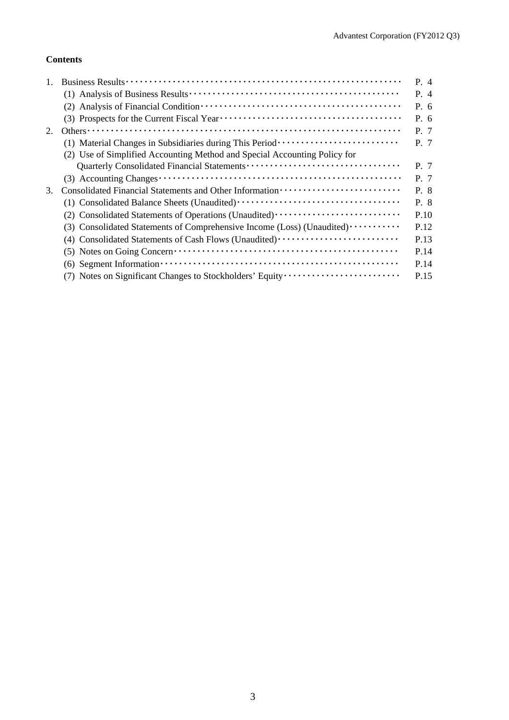### **Contents**

|    |                                                                                                                                       | P. 4 |
|----|---------------------------------------------------------------------------------------------------------------------------------------|------|
|    |                                                                                                                                       | P. 4 |
|    |                                                                                                                                       | P. 6 |
|    |                                                                                                                                       | P.6  |
| 2. |                                                                                                                                       | P. 7 |
|    | (1) Material Changes in Subsidiaries during This Period ························                                                      | P. 7 |
|    | (2) Use of Simplified Accounting Method and Special Accounting Policy for                                                             |      |
|    |                                                                                                                                       | P. 7 |
|    |                                                                                                                                       | P. 7 |
| 3. |                                                                                                                                       | P. 8 |
|    |                                                                                                                                       | P. 8 |
|    |                                                                                                                                       | P.10 |
|    | (3) Consolidated Statements of Comprehensive Income (Loss) (Unaudited)                                                                | P.12 |
|    | (4) Consolidated Statements of Cash Flows (Unaudited)                                                                                 | P.13 |
|    | $(5)$ Notes on Going Concern $\dots \dots \dots \dots \dots \dots \dots \dots \dots \dots \dots \dots \dots \dots \dots$              | P.14 |
|    | $(6)$ Segment Information $\cdots$ $\cdots$ $\cdots$ $\cdots$ $\cdots$ $\cdots$ $\cdots$ $\cdots$ $\cdots$ $\cdots$ $\cdots$ $\cdots$ | P.14 |
|    | (7) Notes on Significant Changes to Stockholders' Equity                                                                              | P.15 |
|    |                                                                                                                                       |      |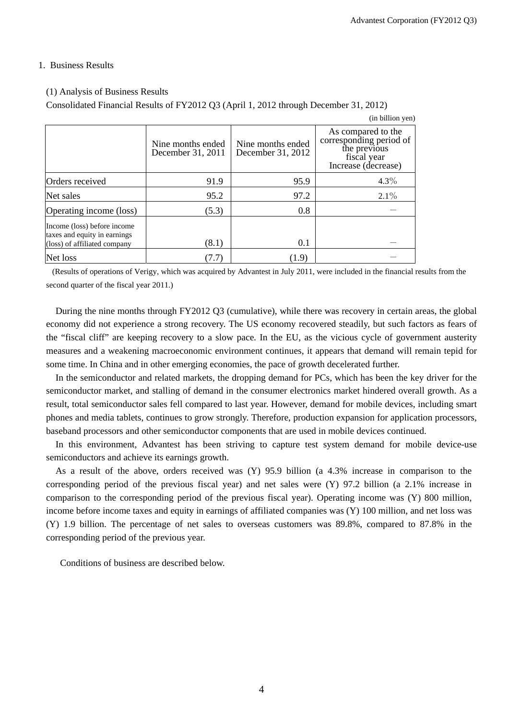#### 1. Business Results

#### (1) Analysis of Business Results

Consolidated Financial Results of FY2012 Q3 (April 1, 2012 through December 31, 2012)

|                                                                                             |                                        |                                        | (in billion yen)                                                                                    |
|---------------------------------------------------------------------------------------------|----------------------------------------|----------------------------------------|-----------------------------------------------------------------------------------------------------|
|                                                                                             | Nine months ended<br>December 31, 2011 | Nine months ended<br>December 31, 2012 | As compared to the<br>corresponding period of<br>the previous<br>fiscal year<br>Increase (decrease) |
| Orders received                                                                             | 91.9                                   | 95.9                                   | $4.3\%$                                                                                             |
| Net sales                                                                                   | 95.2                                   | 97.2                                   | $2.1\%$                                                                                             |
| Operating income (loss)                                                                     | (5.3)                                  | 0.8                                    |                                                                                                     |
| Income (loss) before income<br>taxes and equity in earnings<br>(loss) of affiliated company | (8.1)                                  | 0.1                                    |                                                                                                     |
| Net loss                                                                                    | (7.7)                                  | (1.9)                                  |                                                                                                     |

 (Results of operations of Verigy, which was acquired by Advantest in July 2011, were included in the financial results from the second quarter of the fiscal year 2011.)

During the nine months through FY2012 Q3 (cumulative), while there was recovery in certain areas, the global economy did not experience a strong recovery. The US economy recovered steadily, but such factors as fears of the "fiscal cliff" are keeping recovery to a slow pace. In the EU, as the vicious cycle of government austerity measures and a weakening macroeconomic environment continues, it appears that demand will remain tepid for some time. In China and in other emerging economies, the pace of growth decelerated further.

In the semiconductor and related markets, the dropping demand for PCs, which has been the key driver for the semiconductor market, and stalling of demand in the consumer electronics market hindered overall growth. As a result, total semiconductor sales fell compared to last year. However, demand for mobile devices, including smart phones and media tablets, continues to grow strongly. Therefore, production expansion for application processors, baseband processors and other semiconductor components that are used in mobile devices continued.

In this environment, Advantest has been striving to capture test system demand for mobile device-use semiconductors and achieve its earnings growth.

As a result of the above, orders received was (Y) 95.9 billion (a 4.3% increase in comparison to the corresponding period of the previous fiscal year) and net sales were (Y) 97.2 billion (a 2.1% increase in comparison to the corresponding period of the previous fiscal year). Operating income was (Y) 800 million, income before income taxes and equity in earnings of affiliated companies was (Y) 100 million, and net loss was (Y) 1.9 billion. The percentage of net sales to overseas customers was 89.8%, compared to 87.8% in the corresponding period of the previous year.

Conditions of business are described below.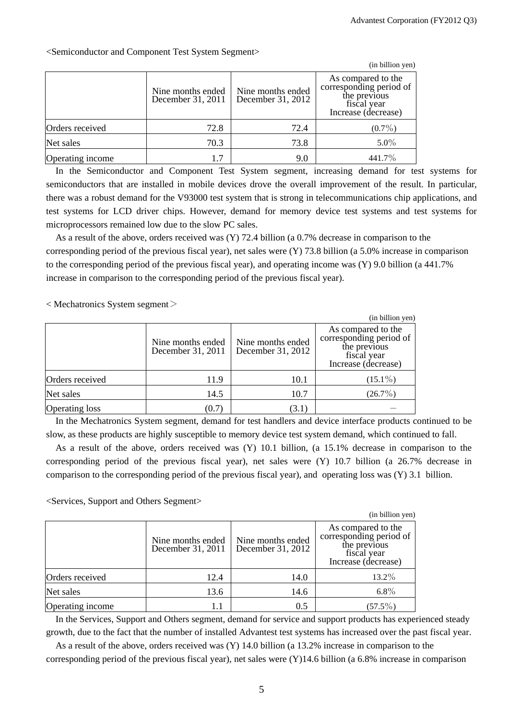|                  |                                        |                                        | (in billion yen)                                                                                    |
|------------------|----------------------------------------|----------------------------------------|-----------------------------------------------------------------------------------------------------|
|                  | Nine months ended<br>December 31, 2011 | Nine months ended<br>December 31, 2012 | As compared to the<br>corresponding period of<br>the previous<br>fiscal vear<br>Increase (decrease) |
| Orders received  | 72.8                                   | 72.4                                   | $(0.7\%)$                                                                                           |
| Net sales        | 70.3                                   | 73.8                                   | $5.0\%$                                                                                             |
| Operating income | 1.7                                    | 9.0                                    | 441.7%                                                                                              |

<Semiconductor and Component Test System Segment>

In the Semiconductor and Component Test System segment, increasing demand for test systems for semiconductors that are installed in mobile devices drove the overall improvement of the result. In particular, there was a robust demand for the V93000 test system that is strong in telecommunications chip applications, and test systems for LCD driver chips. However, demand for memory device test systems and test systems for microprocessors remained low due to the slow PC sales.

As a result of the above, orders received was (Y) 72.4 billion (a 0.7% decrease in comparison to the corresponding period of the previous fiscal year), net sales were  $(Y)$  73.8 billion (a 5.0% increase in comparison to the corresponding period of the previous fiscal year), and operating income was (Y) 9.0 billion (a 441.7% increase in comparison to the corresponding period of the previous fiscal year).

 $\langle$  Mechatronics System segment $\langle$ 

|                       |                                        |                                        | (in billion yen)                                                                                    |
|-----------------------|----------------------------------------|----------------------------------------|-----------------------------------------------------------------------------------------------------|
|                       | Nine months ended<br>December 31, 2011 | Nine months ended<br>December 31, 2012 | As compared to the<br>corresponding period of<br>the previous<br>fiscal year<br>Increase (decrease) |
| Orders received       | 11.9                                   | 10.1                                   | $(15.1\%)$                                                                                          |
| Net sales             | 14.5                                   | 10.7                                   | $(26.7\%)$                                                                                          |
| <b>Operating loss</b> | (0.7)                                  | (3.1)                                  |                                                                                                     |

In the Mechatronics System segment, demand for test handlers and device interface products continued to be slow, as these products are highly susceptible to memory device test system demand, which continued to fall.

As a result of the above, orders received was (Y) 10.1 billion, (a 15.1% decrease in comparison to the corresponding period of the previous fiscal year), net sales were (Y) 10.7 billion (a 26.7% decrease in comparison to the corresponding period of the previous fiscal year), and operating loss was (Y) 3.1 billion.

#### <Services, Support and Others Segment>

|                  |                                        |                                        | (in billion yen)                                                                                    |
|------------------|----------------------------------------|----------------------------------------|-----------------------------------------------------------------------------------------------------|
|                  | Nine months ended<br>December 31, 2011 | Nine months ended<br>December 31, 2012 | As compared to the<br>corresponding period of<br>the previous<br>fiscal year<br>Increase (decrease) |
| Orders received  | 12.4                                   | 14.0                                   | 13.2%                                                                                               |
| Net sales        | 13.6                                   | 14.6                                   | $6.8\%$                                                                                             |
| Operating income | 1.1                                    | 0.5                                    | $(57.5\%)$                                                                                          |

In the Services, Support and Others segment, demand for service and support products has experienced steady growth, due to the fact that the number of installed Advantest test systems has increased over the past fiscal year.

As a result of the above, orders received was (Y) 14.0 billion (a 13.2% increase in comparison to the corresponding period of the previous fiscal year), net sales were (Y)14.6 billion (a 6.8% increase in comparison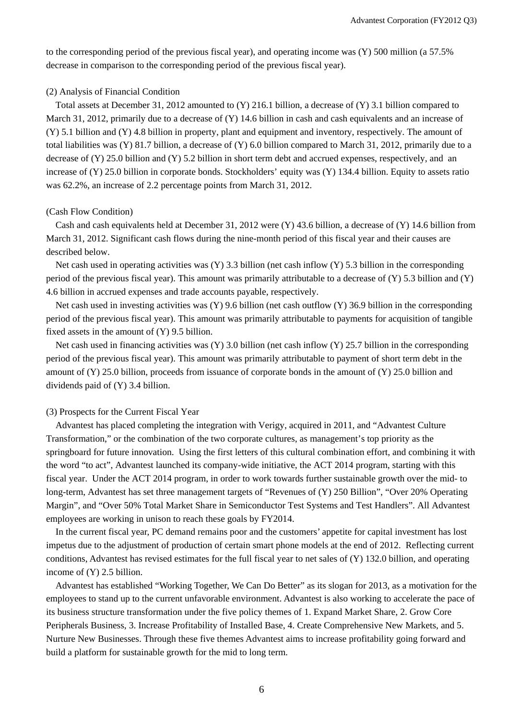to the corresponding period of the previous fiscal year), and operating income was (Y) 500 million (a 57.5% decrease in comparison to the corresponding period of the previous fiscal year).

#### (2) Analysis of Financial Condition

Total assets at December 31, 2012 amounted to (Y) 216.1 billion, a decrease of (Y) 3.1 billion compared to March 31, 2012, primarily due to a decrease of (Y) 14.6 billion in cash and cash equivalents and an increase of (Y) 5.1 billion and (Y) 4.8 billion in property, plant and equipment and inventory, respectively. The amount of total liabilities was (Y) 81.7 billion, a decrease of (Y) 6.0 billion compared to March 31, 2012, primarily due to a decrease of (Y) 25.0 billion and (Y) 5.2 billion in short term debt and accrued expenses, respectively, and an increase of (Y) 25.0 billion in corporate bonds. Stockholders' equity was (Y) 134.4 billion. Equity to assets ratio was 62.2%, an increase of 2.2 percentage points from March 31, 2012.

#### (Cash Flow Condition)

Cash and cash equivalents held at December 31, 2012 were (Y) 43.6 billion, a decrease of (Y) 14.6 billion from March 31, 2012. Significant cash flows during the nine-month period of this fiscal year and their causes are described below.

Net cash used in operating activities was  $(Y)$  3.3 billion (net cash inflow  $(Y)$  5.3 billion in the corresponding period of the previous fiscal year). This amount was primarily attributable to a decrease of  $(Y)$  5.3 billion and  $(Y)$ 4.6 billion in accrued expenses and trade accounts payable, respectively.

Net cash used in investing activities was (Y) 9.6 billion (net cash outflow (Y) 36.9 billion in the corresponding period of the previous fiscal year). This amount was primarily attributable to payments for acquisition of tangible fixed assets in the amount of (Y) 9.5 billion.

Net cash used in financing activities was (Y) 3.0 billion (net cash inflow (Y) 25.7 billion in the corresponding period of the previous fiscal year). This amount was primarily attributable to payment of short term debt in the amount of (Y) 25.0 billion, proceeds from issuance of corporate bonds in the amount of (Y) 25.0 billion and dividends paid of (Y) 3.4 billion.

#### (3) Prospects for the Current Fiscal Year

Advantest has placed completing the integration with Verigy, acquired in 2011, and "Advantest Culture Transformation," or the combination of the two corporate cultures, as management's top priority as the springboard for future innovation. Using the first letters of this cultural combination effort, and combining it with the word "to act", Advantest launched its company-wide initiative, the ACT 2014 program, starting with this fiscal year. Under the ACT 2014 program, in order to work towards further sustainable growth over the mid- to long-term, Advantest has set three management targets of "Revenues of (Y) 250 Billion", "Over 20% Operating Margin", and "Over 50% Total Market Share in Semiconductor Test Systems and Test Handlers". All Advantest employees are working in unison to reach these goals by FY2014.

In the current fiscal year, PC demand remains poor and the customers' appetite for capital investment has lost impetus due to the adjustment of production of certain smart phone models at the end of 2012. Reflecting current conditions, Advantest has revised estimates for the full fiscal year to net sales of (Y) 132.0 billion, and operating income of (Y) 2.5 billion.

Advantest has established "Working Together, We Can Do Better" as its slogan for 2013, as a motivation for the employees to stand up to the current unfavorable environment. Advantest is also working to accelerate the pace of its business structure transformation under the five policy themes of 1. Expand Market Share, 2. Grow Core Peripherals Business, 3. Increase Profitability of Installed Base, 4. Create Comprehensive New Markets, and 5. Nurture New Businesses. Through these five themes Advantest aims to increase profitability going forward and build a platform for sustainable growth for the mid to long term.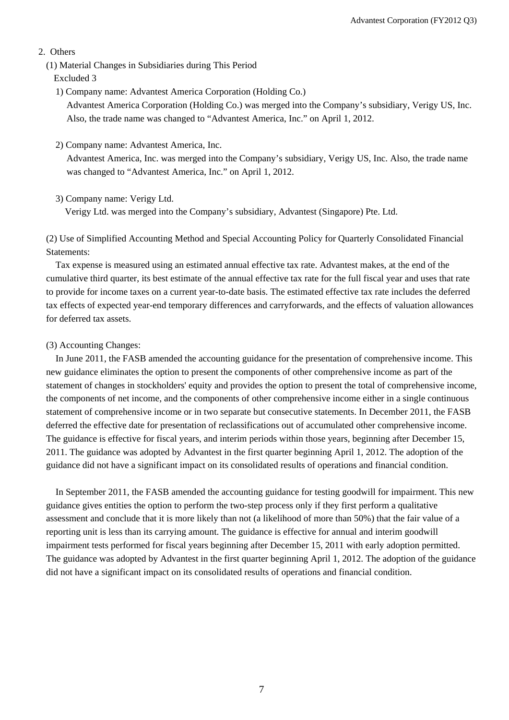#### 2. Others

- (1) Material Changes in Subsidiaries during This Period
	- Excluded 3
	- 1) Company name: Advantest America Corporation (Holding Co.) Advantest America Corporation (Holding Co.) was merged into the Company's subsidiary, Verigy US, Inc. Also, the trade name was changed to "Advantest America, Inc." on April 1, 2012.
	- 2) Company name: Advantest America, Inc.

Advantest America, Inc. was merged into the Company's subsidiary, Verigy US, Inc. Also, the trade name was changed to "Advantest America, Inc." on April 1, 2012.

3) Company name: Verigy Ltd.

Verigy Ltd. was merged into the Company's subsidiary, Advantest (Singapore) Pte. Ltd.

(2) Use of Simplified Accounting Method and Special Accounting Policy for Quarterly Consolidated Financial Statements:

Tax expense is measured using an estimated annual effective tax rate. Advantest makes, at the end of the cumulative third quarter, its best estimate of the annual effective tax rate for the full fiscal year and uses that rate to provide for income taxes on a current year-to-date basis. The estimated effective tax rate includes the deferred tax effects of expected year-end temporary differences and carryforwards, and the effects of valuation allowances for deferred tax assets.

#### (3) Accounting Changes:

In June 2011, the FASB amended the accounting guidance for the presentation of comprehensive income. This new guidance eliminates the option to present the components of other comprehensive income as part of the statement of changes in stockholders' equity and provides the option to present the total of comprehensive income, the components of net income, and the components of other comprehensive income either in a single continuous statement of comprehensive income or in two separate but consecutive statements. In December 2011, the FASB deferred the effective date for presentation of reclassifications out of accumulated other comprehensive income. The guidance is effective for fiscal years, and interim periods within those years, beginning after December 15, 2011. The guidance was adopted by Advantest in the first quarter beginning April 1, 2012. The adoption of the guidance did not have a significant impact on its consolidated results of operations and financial condition.

In September 2011, the FASB amended the accounting guidance for testing goodwill for impairment. This new guidance gives entities the option to perform the two-step process only if they first perform a qualitative assessment and conclude that it is more likely than not (a likelihood of more than 50%) that the fair value of a reporting unit is less than its carrying amount. The guidance is effective for annual and interim goodwill impairment tests performed for fiscal years beginning after December 15, 2011 with early adoption permitted. The guidance was adopted by Advantest in the first quarter beginning April 1, 2012. The adoption of the guidance did not have a significant impact on its consolidated results of operations and financial condition.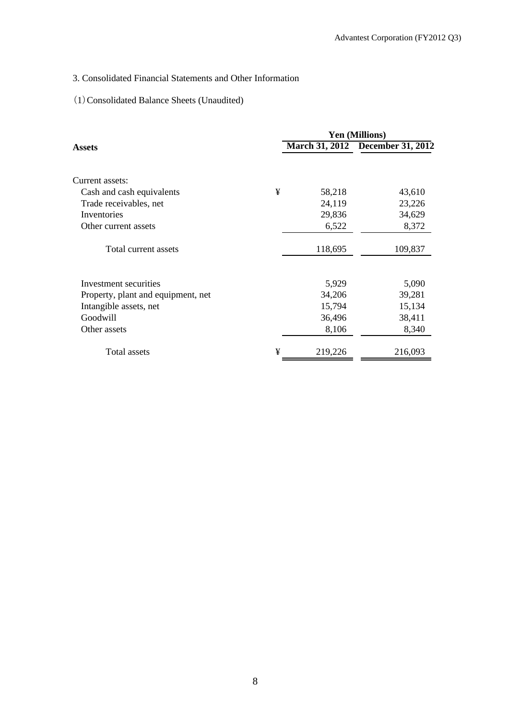# 3. Consolidated Financial Statements and Other Information

# (1)Consolidated Balance Sheets (Unaudited)

|                                    |   | <b>Yen (Millions)</b> |                                  |  |  |  |
|------------------------------------|---|-----------------------|----------------------------------|--|--|--|
| Assets                             |   |                       | March 31, 2012 December 31, 2012 |  |  |  |
| Current assets:                    |   |                       |                                  |  |  |  |
| Cash and cash equivalents          | ¥ | 58,218                | 43,610                           |  |  |  |
| Trade receivables, net             |   | 24,119                | 23,226                           |  |  |  |
| Inventories                        |   | 29,836                | 34,629                           |  |  |  |
| Other current assets               |   | 6,522                 | 8,372                            |  |  |  |
| Total current assets               |   | 118,695               | 109,837                          |  |  |  |
| Investment securities              |   | 5,929                 | 5,090                            |  |  |  |
| Property, plant and equipment, net |   | 34,206                | 39,281                           |  |  |  |
| Intangible assets, net             |   | 15,794                | 15,134                           |  |  |  |
| Goodwill                           |   | 36,496                | 38,411                           |  |  |  |
| Other assets                       |   | 8,106                 | 8,340                            |  |  |  |
| Total assets                       | ¥ | 219,226               | 216,093                          |  |  |  |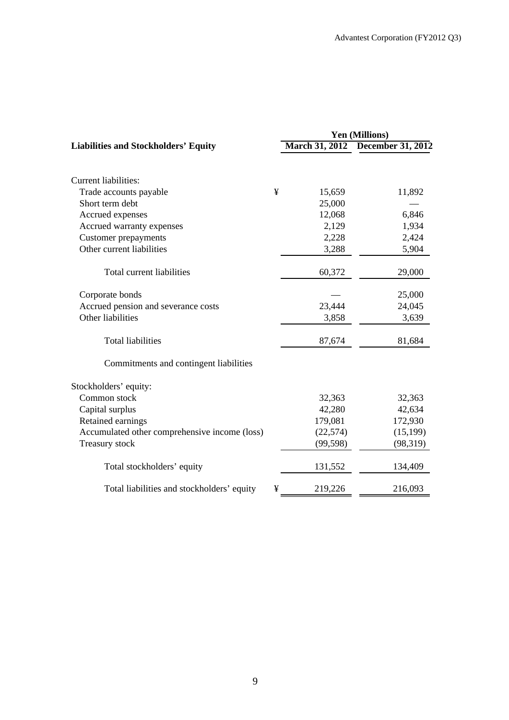|                                               | Yen (Millions) |                       |                          |  |
|-----------------------------------------------|----------------|-----------------------|--------------------------|--|
| <b>Liabilities and Stockholders' Equity</b>   |                | <b>March 31, 2012</b> | <b>December 31, 2012</b> |  |
| <b>Current liabilities:</b>                   |                |                       |                          |  |
| Trade accounts payable                        | ¥              | 15,659                | 11,892                   |  |
| Short term debt                               |                | 25,000                |                          |  |
| Accrued expenses                              |                | 12,068                | 6,846                    |  |
| Accrued warranty expenses                     |                | 2,129                 | 1,934                    |  |
| <b>Customer prepayments</b>                   |                | 2,228                 | 2,424                    |  |
| Other current liabilities                     |                | 3,288                 | 5,904                    |  |
| Total current liabilities                     |                | 60,372                | 29,000                   |  |
| Corporate bonds                               |                |                       | 25,000                   |  |
| Accrued pension and severance costs           |                | 23,444                | 24,045                   |  |
| Other liabilities                             |                | 3,858                 | 3,639                    |  |
| <b>Total liabilities</b>                      |                | 87,674                | 81,684                   |  |
| Commitments and contingent liabilities        |                |                       |                          |  |
| Stockholders' equity:                         |                |                       |                          |  |
| Common stock                                  |                | 32,363                | 32,363                   |  |
| Capital surplus                               |                | 42,280                | 42,634                   |  |
| Retained earnings                             |                | 179,081               | 172,930                  |  |
| Accumulated other comprehensive income (loss) |                | (22, 574)             | (15, 199)                |  |
| Treasury stock                                |                | (99, 598)             | (98, 319)                |  |
| Total stockholders' equity                    |                | 131,552               | 134,409                  |  |
| Total liabilities and stockholders' equity    | ¥              | 219,226               | 216,093                  |  |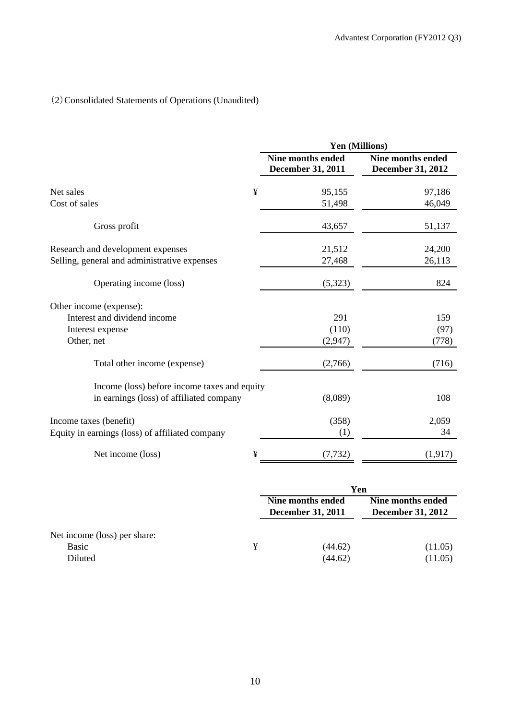# (2)Consolidated Statements of Operations (Unaudited)

|                                                 | Yen (Millions)                                |                                               |  |  |
|-------------------------------------------------|-----------------------------------------------|-----------------------------------------------|--|--|
|                                                 | <b>Nine months ended</b><br>December 31, 2011 | <b>Nine months ended</b><br>December 31, 2012 |  |  |
| ¥<br>Net sales                                  | 95,155                                        | 97,186                                        |  |  |
| Cost of sales                                   | 51,498                                        | 46,049                                        |  |  |
| Gross profit                                    | 43,657                                        | 51,137                                        |  |  |
| Research and development expenses               | 21,512                                        | 24,200                                        |  |  |
| Selling, general and administrative expenses    | 27,468                                        | 26,113                                        |  |  |
| Operating income (loss)                         | (5,323)                                       | 824                                           |  |  |
| Other income (expense):                         |                                               |                                               |  |  |
| Interest and dividend income                    | 291                                           | 159                                           |  |  |
| Interest expense                                | (110)                                         | (97)                                          |  |  |
| Other, net                                      | (2,947)                                       | (778)                                         |  |  |
| Total other income (expense)                    | (2,766)                                       | (716)                                         |  |  |
| Income (loss) before income taxes and equity    |                                               |                                               |  |  |
| in earnings (loss) of affiliated company        | (8,089)                                       | 108                                           |  |  |
| Income taxes (benefit)                          | (358)                                         | 2,059                                         |  |  |
| Equity in earnings (loss) of affiliated company | (1)                                           | 34                                            |  |  |
| Net income (loss)<br>¥                          | (7, 732)                                      | (1, 917)                                      |  |  |

|                                                  |   | Yen                                           |                                               |  |  |
|--------------------------------------------------|---|-----------------------------------------------|-----------------------------------------------|--|--|
|                                                  |   | Nine months ended<br><b>December 31, 2011</b> | Nine months ended<br><b>December 31, 2012</b> |  |  |
| Net income (loss) per share:<br>Basic<br>Diluted | ¥ | (44.62)<br>(44.62)                            | (11.05)<br>(11.05)                            |  |  |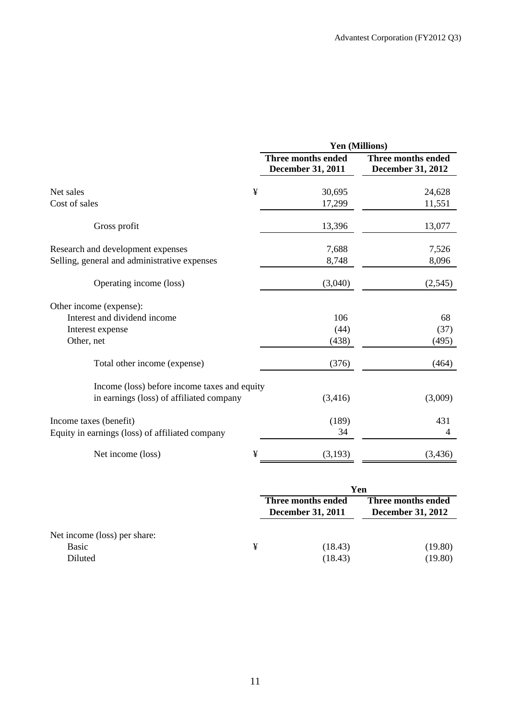|                                                                                   | Yen (Millions)                                 |                                         |  |  |
|-----------------------------------------------------------------------------------|------------------------------------------------|-----------------------------------------|--|--|
|                                                                                   | <b>Three months ended</b><br>December 31, 2011 | Three months ended<br>December 31, 2012 |  |  |
| ¥<br>Net sales                                                                    | 30,695                                         | 24,628                                  |  |  |
| Cost of sales                                                                     | 17,299                                         | 11,551                                  |  |  |
| Gross profit                                                                      | 13,396                                         | 13,077                                  |  |  |
| Research and development expenses<br>Selling, general and administrative expenses | 7,688<br>8,748                                 | 7,526<br>8,096                          |  |  |
|                                                                                   |                                                |                                         |  |  |
| Operating income (loss)                                                           | (3,040)                                        | (2, 545)                                |  |  |
| Other income (expense):                                                           |                                                |                                         |  |  |
| Interest and dividend income                                                      | 106                                            | 68                                      |  |  |
| Interest expense                                                                  | (44)                                           | (37)                                    |  |  |
| Other, net                                                                        | (438)                                          | (495)                                   |  |  |
| Total other income (expense)                                                      | (376)                                          | (464)                                   |  |  |
| Income (loss) before income taxes and equity                                      |                                                |                                         |  |  |
| in earnings (loss) of affiliated company                                          | (3,416)                                        | (3,009)                                 |  |  |
| Income taxes (benefit)                                                            | (189)                                          | 431                                     |  |  |
| Equity in earnings (loss) of affiliated company                                   | 34                                             | 4                                       |  |  |
| ¥<br>Net income (loss)                                                            | (3,193)                                        | (3, 436)                                |  |  |

|                                                  |   | Yen                                            |                                                |  |
|--------------------------------------------------|---|------------------------------------------------|------------------------------------------------|--|
|                                                  |   | Three months ended<br><b>December 31, 2011</b> | Three months ended<br><b>December 31, 2012</b> |  |
| Net income (loss) per share:<br>Basic<br>Diluted | ¥ | (18.43)<br>(18.43)                             | (19.80)<br>(19.80)                             |  |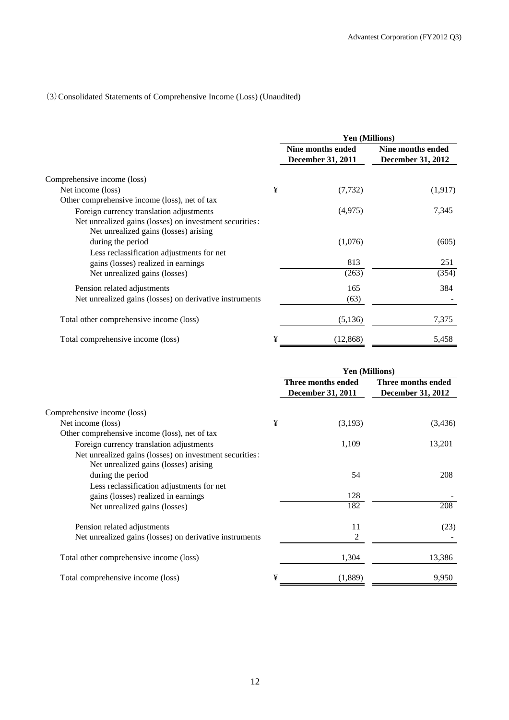## (3)Consolidated Statements of Comprehensive Income (Loss) (Unaudited)

|                                                                                                  |   | Yen (Millions)                                |                                               |  |
|--------------------------------------------------------------------------------------------------|---|-----------------------------------------------|-----------------------------------------------|--|
|                                                                                                  |   | Nine months ended<br><b>December 31, 2011</b> | Nine months ended<br><b>December 31, 2012</b> |  |
| Comprehensive income (loss)                                                                      |   |                                               |                                               |  |
| Net income (loss)                                                                                | ¥ | (7, 732)                                      | (1,917)                                       |  |
| Other comprehensive income (loss), net of tax                                                    |   |                                               |                                               |  |
| Foreign currency translation adjustments                                                         |   | (4,975)                                       | 7,345                                         |  |
| Net unrealized gains (losses) on investment securities:<br>Net unrealized gains (losses) arising |   |                                               |                                               |  |
| during the period                                                                                |   | (1,076)                                       | (605)                                         |  |
| Less reclassification adjustments for net                                                        |   |                                               |                                               |  |
| gains (losses) realized in earnings                                                              |   | 813                                           | 251                                           |  |
| Net unrealized gains (losses)                                                                    |   | (263)                                         | (354)                                         |  |
| Pension related adjustments                                                                      |   | 165                                           | 384                                           |  |
| Net unrealized gains (losses) on derivative instruments                                          |   | (63)                                          |                                               |  |
| Total other comprehensive income (loss)                                                          |   | (5,136)                                       | 7,375                                         |  |
| Total comprehensive income (loss)                                                                | ¥ | (12, 868)                                     | 5,458                                         |  |

|                                                                                                                       |   | <b>Yen (Millions)</b>                          |                                                |  |
|-----------------------------------------------------------------------------------------------------------------------|---|------------------------------------------------|------------------------------------------------|--|
|                                                                                                                       |   | Three months ended<br><b>December 31, 2011</b> | Three months ended<br><b>December 31, 2012</b> |  |
| Comprehensive income (loss)                                                                                           |   |                                                |                                                |  |
| Net income (loss)                                                                                                     | ¥ | (3,193)                                        | (3,436)                                        |  |
| Other comprehensive income (loss), net of tax                                                                         |   |                                                |                                                |  |
| Foreign currency translation adjustments                                                                              |   | 1,109                                          | 13,201                                         |  |
| Net unrealized gains (losses) on investment securities:<br>Net unrealized gains (losses) arising<br>during the period |   | 54                                             | 208                                            |  |
| Less reclassification adjustments for net<br>gains (losses) realized in earnings                                      |   | 128                                            |                                                |  |
| Net unrealized gains (losses)                                                                                         |   | 182                                            | 208                                            |  |
| Pension related adjustments                                                                                           |   | 11                                             | (23)                                           |  |
| Net unrealized gains (losses) on derivative instruments                                                               |   | $\overline{c}$                                 |                                                |  |
| Total other comprehensive income (loss)                                                                               |   | 1,304                                          | 13,386                                         |  |
| Total comprehensive income (loss)                                                                                     | ¥ | (1,889)                                        | 9,950                                          |  |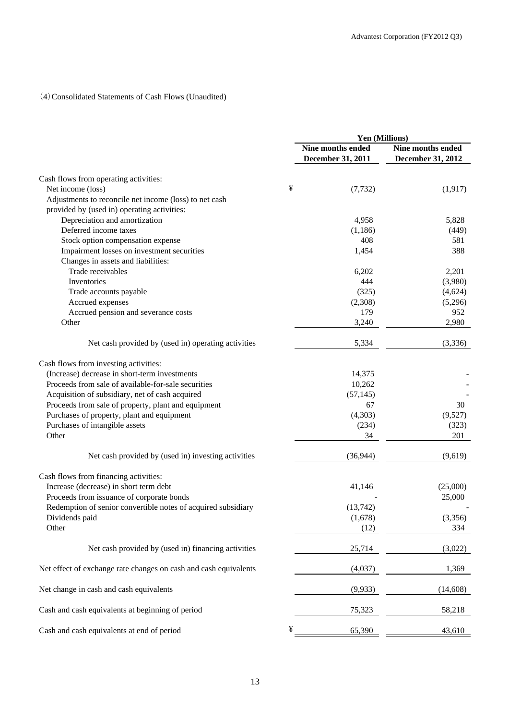## (4)Consolidated Statements of Cash Flows (Unaudited)

|                                                                  |   | Yen (Millions)                                |                                        |  |
|------------------------------------------------------------------|---|-----------------------------------------------|----------------------------------------|--|
|                                                                  |   | <b>Nine months ended</b><br>December 31, 2011 | Nine months ended<br>December 31, 2012 |  |
| Cash flows from operating activities:                            |   |                                               |                                        |  |
| Net income (loss)                                                | ¥ | (7, 732)                                      | (1, 917)                               |  |
| Adjustments to reconcile net income (loss) to net cash           |   |                                               |                                        |  |
| provided by (used in) operating activities:                      |   |                                               |                                        |  |
| Depreciation and amortization                                    |   | 4,958                                         | 5,828                                  |  |
| Deferred income taxes                                            |   | (1,186)                                       | (449)                                  |  |
| Stock option compensation expense                                |   | 408                                           | 581                                    |  |
| Impairment losses on investment securities                       |   | 1,454                                         | 388                                    |  |
| Changes in assets and liabilities:                               |   |                                               |                                        |  |
| Trade receivables                                                |   | 6,202                                         | 2,201                                  |  |
| Inventories                                                      |   | 444                                           | (3,980)                                |  |
| Trade accounts payable                                           |   | (325)                                         | (4,624)                                |  |
| Accrued expenses                                                 |   | (2,308)                                       | (5,296)                                |  |
| Accrued pension and severance costs                              |   | 179                                           | 952                                    |  |
| Other                                                            |   | 3,240                                         | 2,980                                  |  |
| Net cash provided by (used in) operating activities              |   | 5,334                                         | (3,336)                                |  |
| Cash flows from investing activities:                            |   |                                               |                                        |  |
| (Increase) decrease in short-term investments                    |   | 14,375                                        |                                        |  |
| Proceeds from sale of available-for-sale securities              |   | 10,262                                        |                                        |  |
| Acquisition of subsidiary, net of cash acquired                  |   | (57, 145)                                     |                                        |  |
| Proceeds from sale of property, plant and equipment              |   | 67                                            | 30                                     |  |
| Purchases of property, plant and equipment                       |   | (4,303)                                       | (9,527)                                |  |
| Purchases of intangible assets                                   |   | (234)                                         | (323)                                  |  |
| Other                                                            |   | 34                                            | 201                                    |  |
| Net cash provided by (used in) investing activities              |   | (36, 944)                                     | (9,619)                                |  |
| Cash flows from financing activities:                            |   |                                               |                                        |  |
| Increase (decrease) in short term debt                           |   | 41,146                                        | (25,000)                               |  |
| Proceeds from issuance of corporate bonds                        |   |                                               | 25,000                                 |  |
| Redemption of senior convertible notes of acquired subsidiary    |   | (13,742)                                      |                                        |  |
| Dividends paid                                                   |   | (1,678)                                       | (3,356)                                |  |
| Other                                                            |   | (12)                                          | 334                                    |  |
| Net cash provided by (used in) financing activities              |   | 25,714                                        | (3,022)                                |  |
| Net effect of exchange rate changes on cash and cash equivalents |   | (4,037)                                       | 1,369                                  |  |
|                                                                  |   |                                               |                                        |  |
| Net change in cash and cash equivalents                          |   | (9,933)                                       | (14,608)                               |  |
| Cash and cash equivalents at beginning of period                 |   | 75,323                                        | 58,218                                 |  |
| Cash and cash equivalents at end of period                       | ¥ | 65,390                                        | 43,610                                 |  |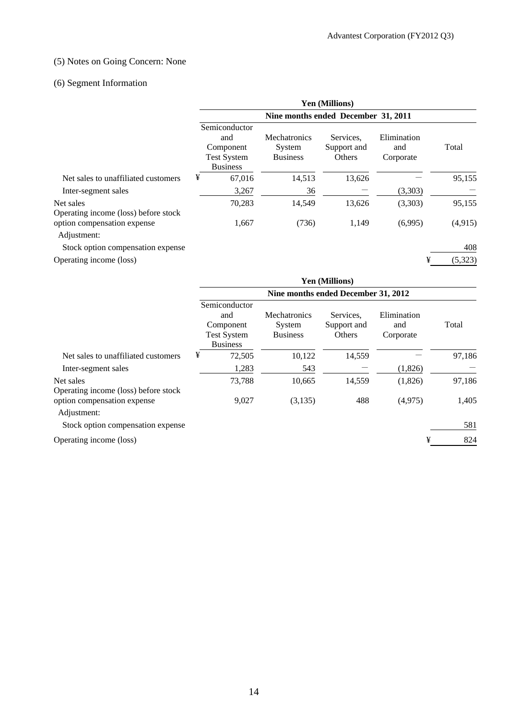## (5) Notes on Going Concern: None

# (6) Segment Information

|                                                   | <b>Yen (Millions)</b>                                                      |                                           |                                    |                                 |         |  |  |
|---------------------------------------------------|----------------------------------------------------------------------------|-------------------------------------------|------------------------------------|---------------------------------|---------|--|--|
|                                                   | Nine months ended December 31, 2011                                        |                                           |                                    |                                 |         |  |  |
|                                                   | Semiconductor<br>and<br>Component<br><b>Test System</b><br><b>Business</b> | Mechatronics<br>System<br><b>Business</b> | Services.<br>Support and<br>Others | Elimination<br>and<br>Corporate | Total   |  |  |
| Net sales to unaffiliated customers               | ¥<br>67,016                                                                | 14,513                                    | 13,626                             |                                 | 95,155  |  |  |
| Inter-segment sales                               | 3,267                                                                      | 36                                        |                                    | (3,303)                         |         |  |  |
| Net sales<br>Operating income (loss) before stock | 70,283                                                                     | 14,549                                    | 13,626                             | (3,303)                         | 95,155  |  |  |
| option compensation expense<br>Adjustment:        | 1,667                                                                      | (736)                                     | 1,149                              | (6,995)                         | (4,915) |  |  |
| Stock option compensation expense                 |                                                                            |                                           |                                    |                                 | 408     |  |  |
| Operating income (loss)                           |                                                                            |                                           |                                    | ¥                               | (5,323) |  |  |

|                                                   | <b>Yen (Millions)</b>                                                      |                                                  |                                    |                                 |        |  |  |
|---------------------------------------------------|----------------------------------------------------------------------------|--------------------------------------------------|------------------------------------|---------------------------------|--------|--|--|
|                                                   | Nine months ended December 31, 2012                                        |                                                  |                                    |                                 |        |  |  |
|                                                   | Semiconductor<br>and<br>Component<br><b>Test System</b><br><b>Business</b> | <b>Mechatronics</b><br>System<br><b>Business</b> | Services.<br>Support and<br>Others | Elimination<br>and<br>Corporate | Total  |  |  |
| Net sales to unaffiliated customers               | ¥<br>72,505                                                                | 10,122                                           | 14,559                             |                                 | 97,186 |  |  |
| Inter-segment sales                               | 1,283                                                                      | 543                                              |                                    | (1,826)                         |        |  |  |
| Net sales<br>Operating income (loss) before stock | 73,788                                                                     | 10,665                                           | 14,559                             | (1,826)                         | 97,186 |  |  |
| option compensation expense<br>Adjustment:        | 9,027                                                                      | (3, 135)                                         | 488                                | (4,975)                         | 1,405  |  |  |
| Stock option compensation expense                 |                                                                            |                                                  |                                    |                                 | 581    |  |  |
| Operating income (loss)                           |                                                                            |                                                  |                                    | ¥                               | 824    |  |  |